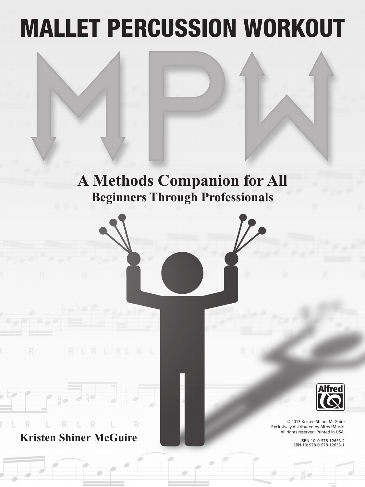# MALLET PERCUSSION WORKOUT

### **A Methods Companion for All Beginners Through Professionals**





© 2013 Kristen Shiner McGuire Exclusively distributed by Alfred Music. All rights reserved. Printed in USA.

ISBN-10: 0-578-12653-2 ISBN-13: 978-0-578-12653-1

R **Kristen Shiner McGuire**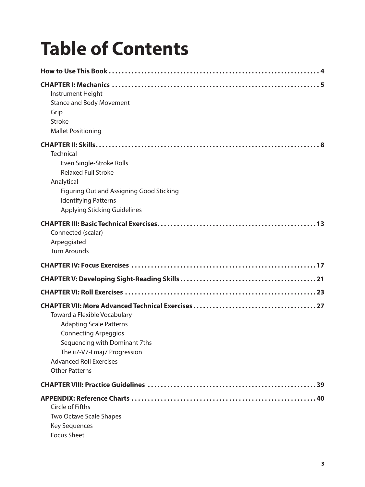## **Table of Contents**

| Instrument Height<br><b>Stance and Body Movement</b><br>Grip<br><b>Stroke</b><br><b>Mallet Positioning</b>                                                                                                                        |
|-----------------------------------------------------------------------------------------------------------------------------------------------------------------------------------------------------------------------------------|
|                                                                                                                                                                                                                                   |
| <b>Technical</b><br>Even Single-Stroke Rolls<br><b>Relaxed Full Stroke</b><br>Analytical<br>Figuring Out and Assigning Good Sticking<br><b>Identifying Patterns</b><br><b>Applying Sticking Guidelines</b>                        |
| Connected (scalar)<br>Arpeggiated<br><b>Turn Arounds</b>                                                                                                                                                                          |
|                                                                                                                                                                                                                                   |
|                                                                                                                                                                                                                                   |
|                                                                                                                                                                                                                                   |
| <b>Toward a Flexible Vocabulary</b><br><b>Adapting Scale Patterns</b><br><b>Connecting Arpeggios</b><br>Sequencing with Dominant 7ths<br>The ii7-V7-I maj7 Progression<br><b>Advanced Roll Exercises</b><br><b>Other Patterns</b> |
|                                                                                                                                                                                                                                   |
| Circle of Fifths<br><b>Two Octave Scale Shapes</b><br><b>Key Sequences</b><br><b>Focus Sheet</b>                                                                                                                                  |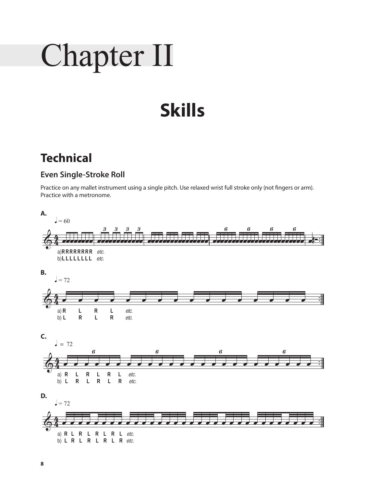# Chapter II

## **Skills**

### **Technical**

#### **Even Single-Stroke Roll**

Practice on any mallet instrument using a single pitch. Use relaxed wrist full stroke only (not fingers or arm). Practice with a metronome.